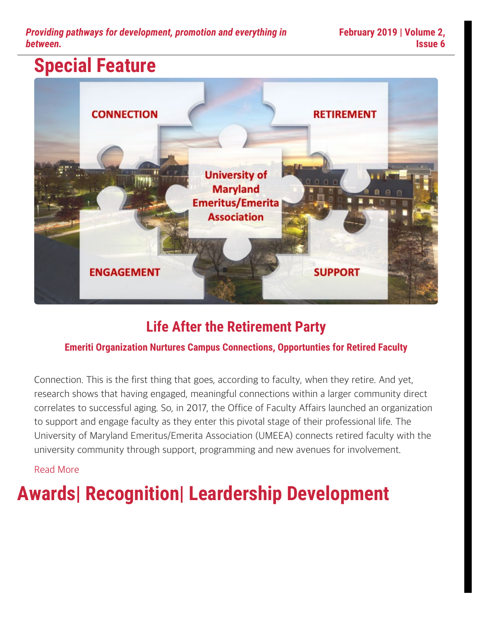*Providing pathways for development, promotion and everything in between.*

### **Special Feature**



### **Life After the Retirement Party**

#### **Emeriti Organization Nurtures Campus Connections, Opportunties for Retired Faculty**

Connection. This is the first thing that goes, according to faculty, when they retire. And yet, research shows that having engaged, meaningful connections within a larger community direct correlates to successful aging. So, in 2017, the Office of Faculty Affairs launched an organization to support and engage faculty as they enter this pivotal stage of their professional life. The University of Maryland Emeritus/Emerita Association (UMEEA) connects retired faculty with the university community through support, programming and new avenues for involvement.

#### [Read More](https://faculty.umd.edu/news/feature-0219.html)

# **Awards| Recognition| Leardership Development**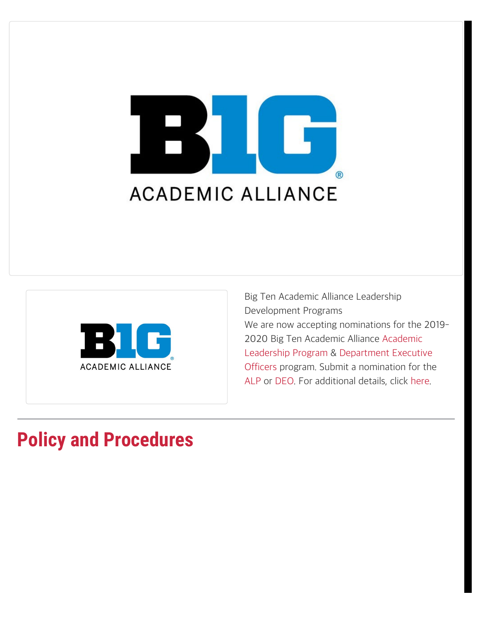



Big Ten Academic Alliance Leadership Development Programs We are now accepting nominations for the 2019- 2020 Big Ten Academic Alliance [Academic](http://www.btaa.org/leadership/alp/introduction) [Leadership Program](http://www.btaa.org/leadership/alp/introduction) & [Department Executive](http://www.btaa.org/leadership/deo/introduction) [Officers](http://www.btaa.org/leadership/deo/introduction) program. Submit a nomination for the [ALP](https://go.umd.edu/big10alp) or [DEO.](https://go.umd.edu/big10deo) For additional details, click [here.](https://www.btaa.org/leadership)

### **Policy and Procedures**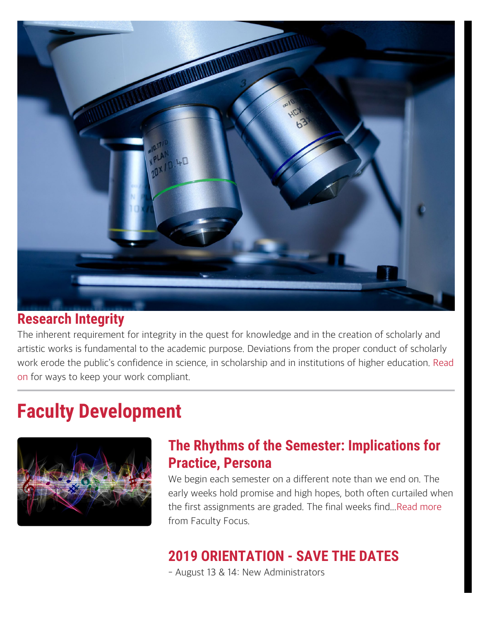

#### **Research Integrity**

The inherent requirement for integrity in the quest for knowledge and in the creation of scholarly and artistic works is fundamental to the academic purpose. Deviations from the proper conduct of scholarly work erode the public's confidence in science, in scholarship and in institutions of higher education. [Read](https://faculty.umd.edu/policies/misconduct.html) [on](https://faculty.umd.edu/policies/misconduct.html) for ways to keep your work compliant.

## **Faculty Development**



### **The Rhythms of the Semester: Implications for Practice, Persona**

We begin each semester on a different note than we end on. The early weeks hold promise and high hopes, both often curtailed when the first assignments are graded. The final weeks find...[Read more](https://www.facultyfocus.com/articles/philosophy-of-teaching/the-rhythms-of-the-semester-implications-for-practice-persona/) from Faculty Focus.

### **2019 ORIENTATION - SAVE THE DATES**

- August 13 & 14: New Administrators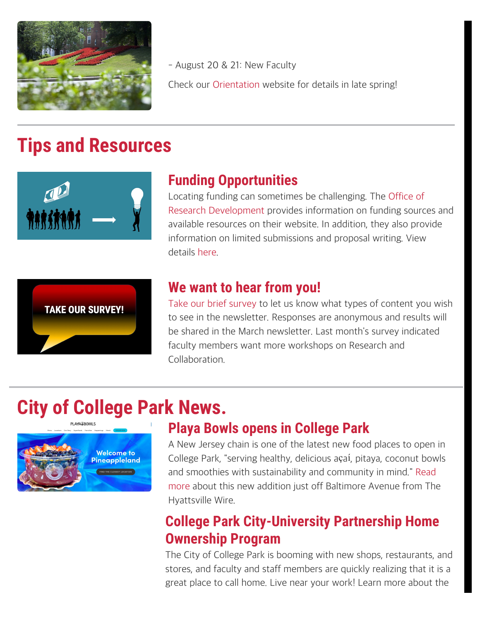

- August 20 & 21: New Faculty Check our [Orientation](https://faculty.umd.edu/orientation/) website for details in late spring!

### **Tips and Resources**



### **Funding Opportunities**

Locating funding can sometimes be challenging. The [Office of](https://research.umd.edu/funding) [Research Development](https://research.umd.edu/funding) provides information on funding sources and available resources on their website. In addition, they also provide information on limited submissions and proposal writing. View details [here](https://ora.umd.edu/proposal-development/locating-funding).



#### **We want to hear from you!**

[Take our brief survey](https://umdsurvey.umd.edu/jfe/form/SV_cTHeVwF8eUG0HB3) to let us know what types of content you wish to see in the newsletter. Responses are anonymous and results will be shared in the March newsletter. Last month's survey indicated faculty members want more workshops on Research and Collaboration.

# **City of College Park News.**



### **Playa Bowls opens in College Park**

A New Jersey chain is one of the latest new food places to open in College Park, "serving healthy, delicious açaí, pitaya, coconut bowls and smoothies with sustainability and community in mind." [Read](https://www.hyattsvillewire.com/2019/01/29/playa-bowls-college-park-hyattsville/) [more](https://www.hyattsvillewire.com/2019/01/29/playa-bowls-college-park-hyattsville/) about this new addition just off Baltimore Avenue from The Hyattsville Wire.

### **College Park City-University Partnership Home Ownership Program**

The City of College Park is booming with new shops, restaurants, and stores, and faculty and staff members are quickly realizing that it is a great place to call home. Live near your work! Learn more about the